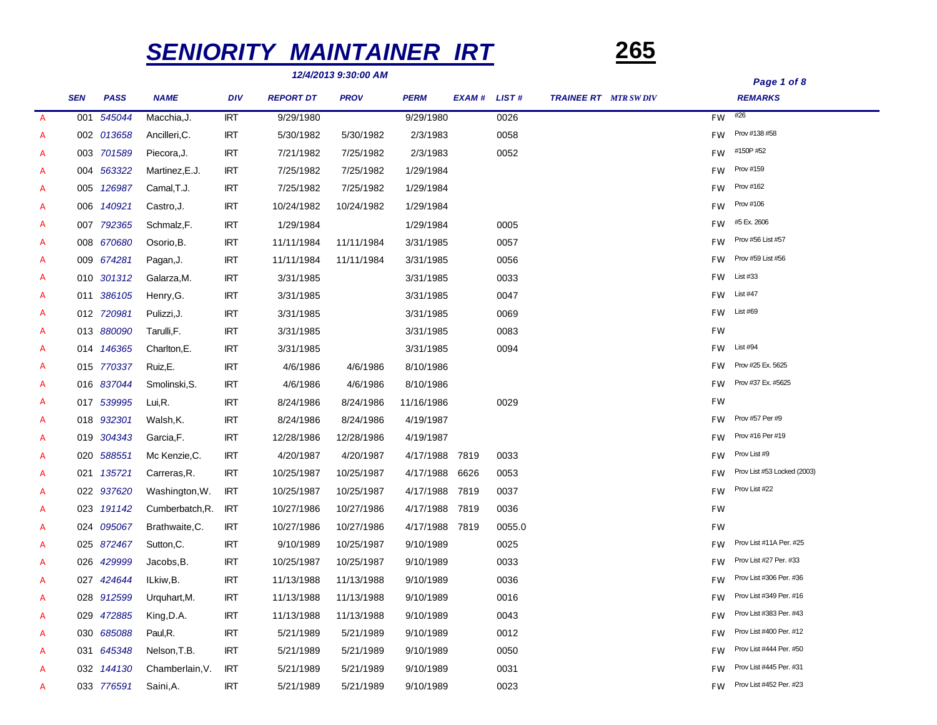# *SENIORITY MAINTAINER IRT* **265**



|                  |            |             |                 |            |                  | 12/4/2013 9.30.00 AM |             |        |              |                             |           | Page 1 of 8                 |
|------------------|------------|-------------|-----------------|------------|------------------|----------------------|-------------|--------|--------------|-----------------------------|-----------|-----------------------------|
|                  | <b>SEN</b> | <b>PASS</b> | <b>NAME</b>     | <b>DIV</b> | <b>REPORT DT</b> | <b>PROV</b>          | <b>PERM</b> | EXAM # | <b>LIST#</b> | <b>TRAINEE RT</b> MTR SWDIV |           | <b>REMARKS</b>              |
| $\boldsymbol{A}$ | 001        | 545044      | Macchia, J.     | <b>IRT</b> | 9/29/1980        |                      | 9/29/1980   |        | 0026         |                             | FW        | #26                         |
| A                |            | 002 013658  | Ancilleri, C.   | <b>IRT</b> | 5/30/1982        | 5/30/1982            | 2/3/1983    |        | 0058         |                             | <b>FW</b> | Prov #138 #58               |
| A                |            | 003 701589  | Piecora, J.     | <b>IRT</b> | 7/21/1982        | 7/25/1982            | 2/3/1983    |        | 0052         |                             | <b>FW</b> | #150P #52                   |
| A                |            | 004 563322  | Martinez, E.J.  | <b>IRT</b> | 7/25/1982        | 7/25/1982            | 1/29/1984   |        |              |                             | <b>FW</b> | Prov #159                   |
| A                |            | 005 126987  | Camal, T.J.     | <b>IRT</b> | 7/25/1982        | 7/25/1982            | 1/29/1984   |        |              |                             | FW        | Prov #162                   |
| A                |            | 006 140921  | Castro, J.      | <b>IRT</b> | 10/24/1982       | 10/24/1982           | 1/29/1984   |        |              |                             | <b>FW</b> | Prov #106                   |
| A                |            | 007 792365  | Schmalz,F.      | <b>IRT</b> | 1/29/1984        |                      | 1/29/1984   |        | 0005         |                             | <b>FW</b> | #5 Ex. 2606                 |
| A                |            | 008 670680  | Osorio, B.      | <b>IRT</b> | 11/11/1984       | 11/11/1984           | 3/31/1985   |        | 0057         |                             | FW        | Prov #56 List #57           |
| A                |            | 009 674281  | Pagan, J.       | <b>IRT</b> | 11/11/1984       | 11/11/1984           | 3/31/1985   |        | 0056         |                             | <b>FW</b> | Prov #59 List #56           |
| A                |            | 010 301312  | Galarza, M.     | <b>IRT</b> | 3/31/1985        |                      | 3/31/1985   |        | 0033         |                             | <b>FW</b> | List #33                    |
| A                |            | 011 386105  | Henry, G.       | <b>IRT</b> | 3/31/1985        |                      | 3/31/1985   |        | 0047         |                             | <b>FW</b> | <b>List #47</b>             |
| A                |            | 012 720981  | Pulizzi, J.     | <b>IRT</b> | 3/31/1985        |                      | 3/31/1985   |        | 0069         |                             | FW        | List #69                    |
| A                |            | 013 880090  | Tarulli, F.     | <b>IRT</b> | 3/31/1985        |                      | 3/31/1985   |        | 0083         |                             | <b>FW</b> |                             |
| A                |            | 014 146365  | Charlton, E.    | <b>IRT</b> | 3/31/1985        |                      | 3/31/1985   |        | 0094         |                             | <b>FW</b> | List #94                    |
| A                |            | 015 770337  | Ruiz,E.         | <b>IRT</b> | 4/6/1986         | 4/6/1986             | 8/10/1986   |        |              |                             | <b>FW</b> | Prov #25 Ex. 5625           |
| A                |            | 016 837044  | Smolinski, S.   | <b>IRT</b> | 4/6/1986         | 4/6/1986             | 8/10/1986   |        |              |                             | <b>FW</b> | Prov #37 Ex. #5625          |
| A                |            | 017 539995  | Lui,R.          | <b>IRT</b> | 8/24/1986        | 8/24/1986            | 11/16/1986  |        | 0029         |                             | FW        |                             |
| A                |            | 018 932301  | Walsh,K.        | <b>IRT</b> | 8/24/1986        | 8/24/1986            | 4/19/1987   |        |              |                             | <b>FW</b> | Prov #57 Per #9             |
| A                |            | 019 304343  | Garcia, F.      | <b>IRT</b> | 12/28/1986       | 12/28/1986           | 4/19/1987   |        |              |                             | <b>FW</b> | Prov #16 Per #19            |
| A                |            | 020 588551  | Mc Kenzie, C.   | <b>IRT</b> | 4/20/1987        | 4/20/1987            | 4/17/1988   | 7819   | 0033         |                             | <b>FW</b> | Prov List #9                |
| A                |            | 021 135721  | Carreras, R.    | <b>IRT</b> | 10/25/1987       | 10/25/1987           | 4/17/1988   | 6626   | 0053         |                             | FW        | Prov List #53 Locked (2003) |
| A                |            | 022 937620  | Washington, W.  | <b>IRT</b> | 10/25/1987       | 10/25/1987           | 4/17/1988   | 7819   | 0037         |                             | <b>FW</b> | Prov List #22               |
| A                |            | 023 191142  | Cumberbatch, R. | <b>IRT</b> | 10/27/1986       | 10/27/1986           | 4/17/1988   | 7819   | 0036         |                             | FW        |                             |
| A                |            | 024 095067  | Brathwaite, C.  | <b>IRT</b> | 10/27/1986       | 10/27/1986           | 4/17/1988   | 7819   | 0055.0       |                             | FW        |                             |
| A                |            | 025 872467  | Sutton, C.      | <b>IRT</b> | 9/10/1989        | 10/25/1987           | 9/10/1989   |        | 0025         |                             | <b>FW</b> | Prov List #11A Per. #25     |
| A                |            | 026 429999  | Jacobs, B.      | <b>IRT</b> | 10/25/1987       | 10/25/1987           | 9/10/1989   |        | 0033         |                             | <b>FW</b> | Prov List #27 Per. #33      |
| A                |            | 027 424644  | ILkiw,B.        | <b>IRT</b> | 11/13/1988       | 11/13/1988           | 9/10/1989   |        | 0036         |                             | FW        | Prov List #306 Per. #36     |
| A                |            | 028 912599  | Urquhart, M.    | <b>IRT</b> | 11/13/1988       | 11/13/1988           | 9/10/1989   |        | 0016         |                             | <b>FW</b> | Prov List #349 Per. #16     |
| A                |            | 029 472885  | King, D.A.      | <b>IRT</b> | 11/13/1988       | 11/13/1988           | 9/10/1989   |        | 0043         |                             | <b>FW</b> | Prov List #383 Per. #43     |
| A                |            | 030 685088  | Paul, R.        | <b>IRT</b> | 5/21/1989        | 5/21/1989            | 9/10/1989   |        | 0012         |                             | <b>FW</b> | Prov List #400 Per. #12     |
| A                |            | 031 645348  | Nelson, T.B.    | <b>IRT</b> | 5/21/1989        | 5/21/1989            | 9/10/1989   |        | 0050         |                             | <b>FW</b> | Prov List #444 Per. #50     |
| A                |            | 032 144130  | Chamberlain, V. | <b>IRT</b> | 5/21/1989        | 5/21/1989            | 9/10/1989   |        | 0031         |                             | <b>FW</b> | Prov List #445 Per. #31     |
| A                |            | 033 776591  | Saini,A.        | <b>IRT</b> | 5/21/1989        | 5/21/1989            | 9/10/1989   |        | 0023         |                             | <b>FW</b> | Prov List #452 Per. #23     |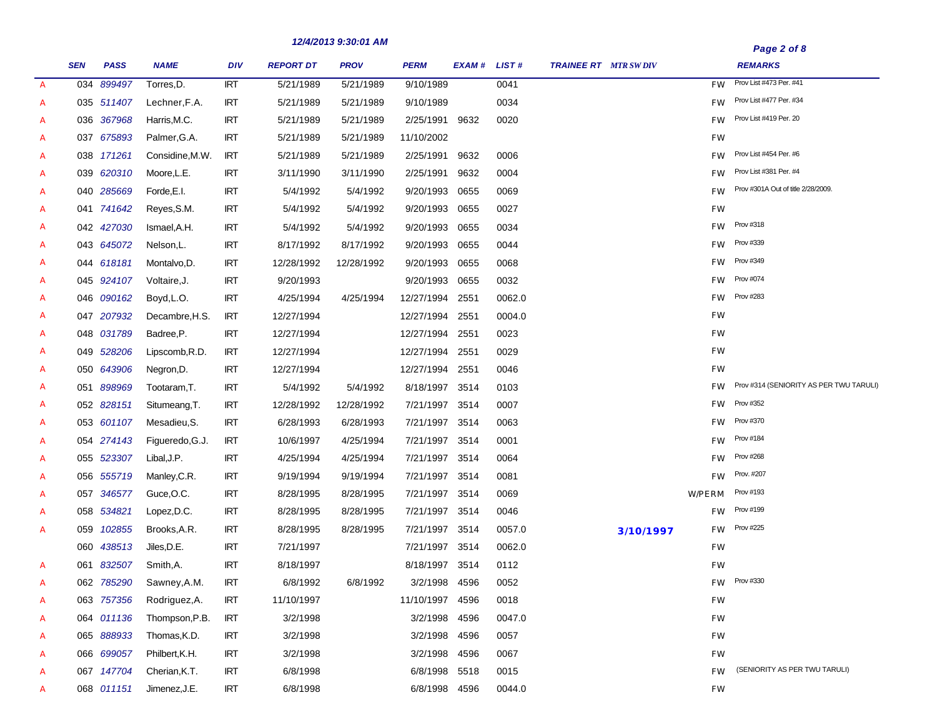|               |            |             |                 |            |                  | 12/4/2013 9.30.01 AM |                |             |        |                              |           |           | Page 2 of 8                             |
|---------------|------------|-------------|-----------------|------------|------------------|----------------------|----------------|-------------|--------|------------------------------|-----------|-----------|-----------------------------------------|
|               | <b>SEN</b> | <b>PASS</b> | <b>NAME</b>     | DIV        | <b>REPORT DT</b> | <b>PROV</b>          | <b>PERM</b>    | EXAM# LIST# |        | <b>TRAINEE RT</b> MTR SW DIV |           |           | <b>REMARKS</b>                          |
| $\mathcal{A}$ |            | 034 899497  | Torres, D.      | <b>IRT</b> | 5/21/1989        | 5/21/1989            | 9/10/1989      |             | 0041   |                              |           | <b>FW</b> | Prov List #473 Per. #41                 |
| А             |            | 035 511407  | Lechner, F.A.   | <b>IRT</b> | 5/21/1989        | 5/21/1989            | 9/10/1989      |             | 0034   |                              |           | <b>FW</b> | Prov List #477 Per. #34                 |
| А             |            | 036 367968  | Harris, M.C.    | <b>IRT</b> | 5/21/1989        | 5/21/1989            | 2/25/1991      | 9632        | 0020   |                              |           | <b>FW</b> | Prov List #419 Per. 20                  |
| А             |            | 037 675893  | Palmer, G.A.    | <b>IRT</b> | 5/21/1989        | 5/21/1989            | 11/10/2002     |             |        |                              |           | <b>FW</b> |                                         |
| А             |            | 038 171261  | Considine, M.W. | <b>IRT</b> | 5/21/1989        | 5/21/1989            | 2/25/1991      | 9632        | 0006   |                              |           | <b>FW</b> | Prov List #454 Per. #6                  |
| А             |            | 039 620310  | Moore, L.E.     | <b>IRT</b> | 3/11/1990        | 3/11/1990            | 2/25/1991      | 9632        | 0004   |                              |           | <b>FW</b> | Prov List #381 Per. #4                  |
| А             |            | 040 285669  | Forde, E.I.     | <b>IRT</b> | 5/4/1992         | 5/4/1992             | 9/20/1993      | 0655        | 0069   |                              |           | <b>FW</b> | Prov #301A Out of title 2/28/2009.      |
| А             |            | 041 741642  | Reyes, S.M.     | <b>IRT</b> | 5/4/1992         | 5/4/1992             | 9/20/1993      | 0655        | 0027   |                              |           | <b>FW</b> |                                         |
| А             |            | 042 427030  | Ismael, A.H.    | <b>IRT</b> | 5/4/1992         | 5/4/1992             | 9/20/1993      | 0655        | 0034   |                              |           | <b>FW</b> | Prov #318                               |
| А             |            | 043 645072  | Nelson, L.      | <b>IRT</b> | 8/17/1992        | 8/17/1992            | 9/20/1993      | 0655        | 0044   |                              |           | <b>FW</b> | Prov #339                               |
| А             |            | 044 618181  | Montalvo, D.    | <b>IRT</b> | 12/28/1992       | 12/28/1992           | 9/20/1993      | 0655        | 0068   |                              |           | <b>FW</b> | <b>Prov #349</b>                        |
| А             |            | 045 924107  | Voltaire, J.    | <b>IRT</b> | 9/20/1993        |                      | 9/20/1993      | 0655        | 0032   |                              |           | <b>FW</b> | Prov #074                               |
| А             |            | 046 090162  | Boyd, L.O.      | <b>IRT</b> | 4/25/1994        | 4/25/1994            | 12/27/1994     | 2551        | 0062.0 |                              |           | <b>FW</b> | <b>Prov #283</b>                        |
| А             |            | 047 207932  | Decambre, H.S.  | <b>IRT</b> | 12/27/1994       |                      | 12/27/1994     | 2551        | 0004.0 |                              |           | <b>FW</b> |                                         |
| А             |            | 048 031789  | Badree, P.      | <b>IRT</b> | 12/27/1994       |                      | 12/27/1994     | 2551        | 0023   |                              |           | <b>FW</b> |                                         |
| А             |            | 049 528206  | Lipscomb, R.D.  | <b>IRT</b> | 12/27/1994       |                      | 12/27/1994     | 2551        | 0029   |                              |           | <b>FW</b> |                                         |
| А             |            | 050 643906  | Negron, D.      | <b>IRT</b> | 12/27/1994       |                      | 12/27/1994     | 2551        | 0046   |                              |           | <b>FW</b> |                                         |
| А             |            | 051 898969  | Tootaram, T.    | <b>IRT</b> | 5/4/1992         | 5/4/1992             | 8/18/1997      | 3514        | 0103   |                              |           | <b>FW</b> | Prov #314 (SENIORITY AS PER TWU TARULI) |
| А             |            | 052 828151  | Situmeang, T.   | <b>IRT</b> | 12/28/1992       | 12/28/1992           | 7/21/1997      | 3514        | 0007   |                              |           | <b>FW</b> | <b>Prov #352</b>                        |
| А             |            | 053 601107  | Mesadieu, S.    | <b>IRT</b> | 6/28/1993        | 6/28/1993            | 7/21/1997      | 3514        | 0063   |                              |           | <b>FW</b> | Prov #370                               |
| A             |            | 054 274143  | Figueredo, G.J. | <b>IRT</b> | 10/6/1997        | 4/25/1994            | 7/21/1997      | 3514        | 0001   |                              |           | <b>FW</b> | Prov #184                               |
| A             |            | 055 523307  | Libal, J.P.     | <b>IRT</b> | 4/25/1994        | 4/25/1994            | 7/21/1997      | 3514        | 0064   |                              |           | <b>FW</b> | <b>Prov #268</b>                        |
| А             |            | 056 555719  | Manley, C.R.    | <b>IRT</b> | 9/19/1994        | 9/19/1994            | 7/21/1997      | 3514        | 0081   |                              |           | <b>FW</b> | Prov. #207                              |
| А             |            | 057 346577  | Guce, O.C.      | <b>IRT</b> | 8/28/1995        | 8/28/1995            | 7/21/1997      | 3514        | 0069   |                              |           | W/PERM    | Prov #193                               |
| А             |            | 058 534821  | Lopez, D.C.     | <b>IRT</b> | 8/28/1995        | 8/28/1995            | 7/21/1997      | 3514        | 0046   |                              |           | FW.       | Prov #199                               |
| A             | 059        | 102855      | Brooks, A.R.    | <b>IRT</b> | 8/28/1995        | 8/28/1995            | 7/21/1997      | 3514        | 0057.0 |                              | 3/10/1997 | FW.       | <b>Prov #225</b>                        |
|               | 060        | 438513      | Jiles, D.E.     | <b>IRT</b> | 7/21/1997        |                      | 7/21/1997      | 3514        | 0062.0 |                              |           | <b>FW</b> |                                         |
| A             |            | 061 832507  | Smith, A.       | <b>IRT</b> | 8/18/1997        |                      | 8/18/1997 3514 |             | 0112   |                              |           | <b>FW</b> |                                         |
| А             |            | 062 785290  | Sawney, A.M.    | <b>IRT</b> | 6/8/1992         | 6/8/1992             | 3/2/1998       | 4596        | 0052   |                              |           | FW.       | Prov #330                               |
| А             |            | 063 757356  | Rodriguez, A.   | <b>IRT</b> | 11/10/1997       |                      | 11/10/1997     | 4596        | 0018   |                              |           | <b>FW</b> |                                         |
| A             |            | 064 011136  | Thompson, P.B.  | <b>IRT</b> | 3/2/1998         |                      | 3/2/1998       | 4596        | 0047.0 |                              |           | <b>FW</b> |                                         |
| A             |            | 065 888933  | Thomas, K.D.    | <b>IRT</b> | 3/2/1998         |                      | 3/2/1998       | 4596        | 0057   |                              |           | <b>FW</b> |                                         |
| А             |            | 066 699057  | Philbert, K.H.  | <b>IRT</b> | 3/2/1998         |                      | 3/2/1998       | 4596        | 0067   |                              |           | <b>FW</b> |                                         |
| A             |            | 067 147704  | Cherian, K.T.   | <b>IRT</b> | 6/8/1998         |                      | 6/8/1998       | 5518        | 0015   |                              |           | <b>FW</b> | (SENIORITY AS PER TWU TARULI)           |
| A             |            | 068 011151  | Jimenez, J.E.   | <b>IRT</b> | 6/8/1998         |                      | 6/8/1998 4596  |             | 0044.0 |                              |           | <b>FW</b> |                                         |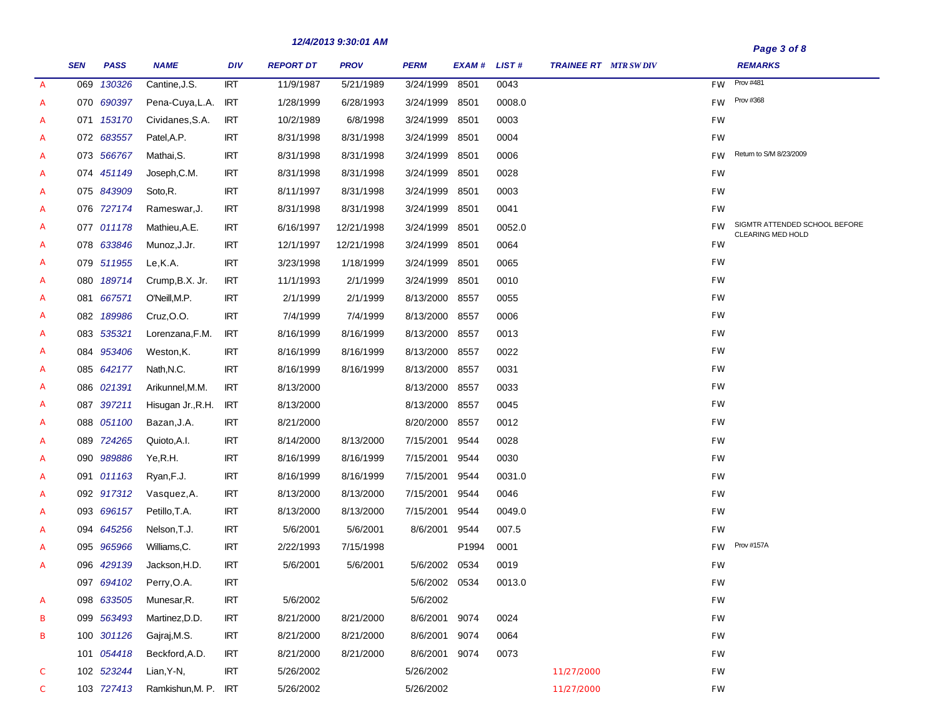|               |            |             |                      |            |                  | 12/4/2013 9.30.01 AM |               |             |        |                             |           | Page 3 of 8                                               |
|---------------|------------|-------------|----------------------|------------|------------------|----------------------|---------------|-------------|--------|-----------------------------|-----------|-----------------------------------------------------------|
|               | <b>SEN</b> | <b>PASS</b> | <b>NAME</b>          | <b>DIV</b> | <b>REPORT DT</b> | <b>PROV</b>          | <b>PERM</b>   | EXAM# LIST# |        | <b>TRAINEE RT</b> MTR SWDIV |           | <b>REMARKS</b>                                            |
| $\mathcal{A}$ | 069        | 130326      | Cantine, J.S.        | RT         | 11/9/1987        | 5/21/1989            | 3/24/1999     | 8501        | 0043   |                             | <b>FW</b> | Prov #481                                                 |
| A             |            | 070 690397  | Pena-Cuya, L.A.      | <b>IRT</b> | 1/28/1999        | 6/28/1993            | 3/24/1999     | 8501        | 0008.0 |                             | <b>FW</b> | Prov #368                                                 |
| A             |            | 071 153170  | Cividanes, S.A.      | <b>IRT</b> | 10/2/1989        | 6/8/1998             | 3/24/1999     | 8501        | 0003   |                             | <b>FW</b> |                                                           |
| A             |            | 072 683557  | Patel, A.P.          | <b>IRT</b> | 8/31/1998        | 8/31/1998            | 3/24/1999     | 8501        | 0004   |                             | <b>FW</b> |                                                           |
| A             |            | 073 566767  | Mathai, S.           | <b>IRT</b> | 8/31/1998        | 8/31/1998            | 3/24/1999     | 8501        | 0006   |                             | <b>FW</b> | Return to S/M 8/23/2009                                   |
| A             |            | 074 451149  | Joseph, C.M.         | <b>IRT</b> | 8/31/1998        | 8/31/1998            | 3/24/1999     | 8501        | 0028   |                             | FW        |                                                           |
| A             |            | 075 843909  | Soto, R.             | <b>IRT</b> | 8/11/1997        | 8/31/1998            | 3/24/1999     | 8501        | 0003   |                             | <b>FW</b> |                                                           |
| A             |            | 076 727174  | Rameswar, J.         | <b>IRT</b> | 8/31/1998        | 8/31/1998            | 3/24/1999     | 8501        | 0041   |                             | <b>FW</b> |                                                           |
| A             |            | 077 011178  | Mathieu, A.E.        | <b>IRT</b> | 6/16/1997        | 12/21/1998           | 3/24/1999     | 8501        | 0052.0 |                             | <b>FW</b> | SIGMTR ATTENDED SCHOOL BEFORE<br><b>CLEARING MED HOLD</b> |
| A             |            | 078 633846  | Munoz, J.Jr.         | <b>IRT</b> | 12/1/1997        | 12/21/1998           | 3/24/1999     | 8501        | 0064   |                             | FW        |                                                           |
| A             |            | 079 511955  | Le,K.A.              | <b>IRT</b> | 3/23/1998        | 1/18/1999            | 3/24/1999     | 8501        | 0065   |                             | <b>FW</b> |                                                           |
| A             |            | 080 189714  | Crump, B.X. Jr.      | <b>IRT</b> | 11/1/1993        | 2/1/1999             | 3/24/1999     | 8501        | 0010   |                             | <b>FW</b> |                                                           |
| A             |            | 081 667571  | O'Neill, M.P.        | <b>IRT</b> | 2/1/1999         | 2/1/1999             | 8/13/2000     | 8557        | 0055   |                             | <b>FW</b> |                                                           |
| A             |            | 082 189986  | Cruz, O.O.           | <b>IRT</b> | 7/4/1999         | 7/4/1999             | 8/13/2000     | 8557        | 0006   |                             | <b>FW</b> |                                                           |
| A             |            | 083 535321  | Lorenzana, F.M.      | <b>IRT</b> | 8/16/1999        | 8/16/1999            | 8/13/2000     | 8557        | 0013   |                             | <b>FW</b> |                                                           |
| A             |            | 084 953406  | Weston, K.           | <b>IRT</b> | 8/16/1999        | 8/16/1999            | 8/13/2000     | 8557        | 0022   |                             | <b>FW</b> |                                                           |
| A             |            | 085 642177  | Nath, N.C.           | <b>IRT</b> | 8/16/1999        | 8/16/1999            | 8/13/2000     | 8557        | 0031   |                             | <b>FW</b> |                                                           |
| A             |            | 086 021391  | Arikunnel, M.M.      | <b>IRT</b> | 8/13/2000        |                      | 8/13/2000     | 8557        | 0033   |                             | <b>FW</b> |                                                           |
| A             |            | 087 397211  | Hisugan Jr., R.H.    | <b>IRT</b> | 8/13/2000        |                      | 8/13/2000     | 8557        | 0045   |                             | <b>FW</b> |                                                           |
| A             |            | 088 051100  | Bazan, J.A.          | <b>IRT</b> | 8/21/2000        |                      | 8/20/2000     | 8557        | 0012   |                             | <b>FW</b> |                                                           |
| A             |            | 089 724265  | Quioto, A.I.         | <b>IRT</b> | 8/14/2000        | 8/13/2000            | 7/15/2001     | 9544        | 0028   |                             | FW        |                                                           |
| A             |            | 090 989886  | Ye,R.H.              | <b>IRT</b> | 8/16/1999        | 8/16/1999            | 7/15/2001     | 9544        | 0030   |                             | FW        |                                                           |
| A             |            | 091 011163  | Ryan, F.J.           | <b>IRT</b> | 8/16/1999        | 8/16/1999            | 7/15/2001     | 9544        | 0031.0 |                             | <b>FW</b> |                                                           |
| A             |            | 092 917312  | Vasquez, A.          | <b>IRT</b> | 8/13/2000        | 8/13/2000            | 7/15/2001     | 9544        | 0046   |                             | FW        |                                                           |
| A             |            | 093 696157  | Petillo, T.A.        | <b>IRT</b> | 8/13/2000        | 8/13/2000            | 7/15/2001     | 9544        | 0049.0 |                             | FW        |                                                           |
| A             |            | 094 645256  | Nelson, T.J.         | <b>IRT</b> | 5/6/2001         | 5/6/2001             | 8/6/2001      | 9544        | 007.5  |                             | FW        |                                                           |
| A             |            | 095 965966  | Williams, C.         | <b>IRT</b> | 2/22/1993        | 7/15/1998            |               | P1994       | 0001   |                             | <b>FW</b> | <b>Prov #157A</b>                                         |
| A             |            | 096 429139  | Jackson, H.D.        | <b>IRT</b> | 5/6/2001         | 5/6/2001             | 5/6/2002      | 0534        | 0019   |                             | FW        |                                                           |
|               |            | 097 694102  | Perry, O.A.          | <b>IRT</b> |                  |                      | 5/6/2002 0534 |             | 0013.0 |                             | FW        |                                                           |
| A             |            | 098 633505  | Munesar, R.          | <b>IRT</b> | 5/6/2002         |                      | 5/6/2002      |             |        |                             | <b>FW</b> |                                                           |
| в             |            | 099 563493  | Martinez, D.D.       | <b>IRT</b> | 8/21/2000        | 8/21/2000            | 8/6/2001      | 9074        | 0024   |                             | FW        |                                                           |
| в             |            | 100 301126  | Gajraj, M.S.         | <b>IRT</b> | 8/21/2000        | 8/21/2000            | 8/6/2001      | 9074        | 0064   |                             | FW        |                                                           |
|               |            | 101 054418  | Beckford, A.D.       | <b>IRT</b> | 8/21/2000        | 8/21/2000            | 8/6/2001      | 9074        | 0073   |                             | FW        |                                                           |
| C             |            | 102 523244  | Lian, Y-N,           | <b>IRT</b> | 5/26/2002        |                      | 5/26/2002     |             |        | 11/27/2000                  | FW        |                                                           |
| $\mathcal{C}$ |            | 103 727413  | Ramkishun, M. P. IRT |            | 5/26/2002        |                      | 5/26/2002     |             |        | 11/27/2000                  | FW        |                                                           |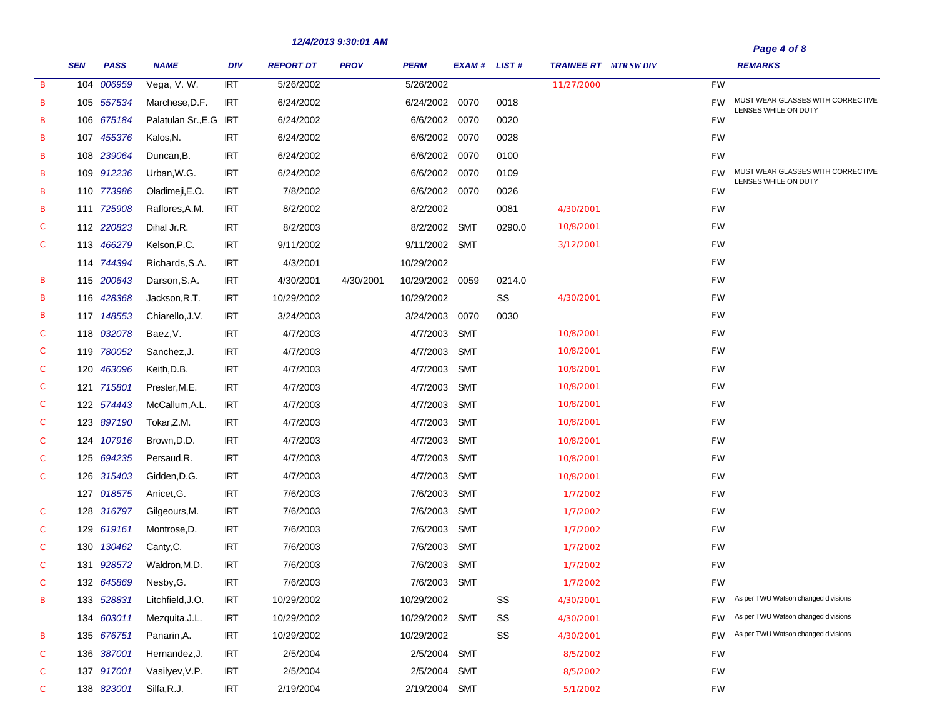|   |            |             |                        |            |                  | 14/7/40133.30.01 MIN |                |               |        |                              | Page 4 of 8 |                                                           |  |
|---|------------|-------------|------------------------|------------|------------------|----------------------|----------------|---------------|--------|------------------------------|-------------|-----------------------------------------------------------|--|
|   | <b>SEN</b> | <b>PASS</b> | <b>NAME</b>            | <b>DIV</b> | <b>REPORT DT</b> | <b>PROV</b>          | <b>PERM</b>    | EXAM # LIST # |        | <b>TRAINEE RT</b> MTR SW DIV |             | <b>REMARKS</b>                                            |  |
| B |            | 104 006959  | Vega, V.W.             | <b>IRT</b> | 5/26/2002        |                      | 5/26/2002      |               |        | 11/27/2000                   | FW          |                                                           |  |
| в |            | 105 557534  | Marchese, D.F.         | <b>IRT</b> | 6/24/2002        |                      | 6/24/2002 0070 |               | 0018   |                              | <b>FW</b>   | MUST WEAR GLASSES WITH CORRECTIVE<br>LENSES WHILE ON DUTY |  |
| в |            | 106 675184  | Palatulan Sr., E.G IRT |            | 6/24/2002        |                      | 6/6/2002 0070  |               | 0020   |                              | FW          |                                                           |  |
| в |            | 107 455376  | Kalos, N.              | <b>IRT</b> | 6/24/2002        |                      | 6/6/2002 0070  |               | 0028   |                              | FW          |                                                           |  |
| в |            | 108 239064  | Duncan, B.             | <b>IRT</b> | 6/24/2002        |                      | 6/6/2002 0070  |               | 0100   |                              | FW          |                                                           |  |
| в |            | 109 912236  | Urban, W.G.            | <b>IRT</b> | 6/24/2002        |                      | 6/6/2002 0070  |               | 0109   |                              | <b>FW</b>   | MUST WEAR GLASSES WITH CORRECTIVE<br>LENSES WHILE ON DUTY |  |
| в |            | 110 773986  | Oladimeji, E.O.        | <b>IRT</b> | 7/8/2002         |                      | 6/6/2002 0070  |               | 0026   |                              | FW          |                                                           |  |
| в |            | 111 725908  | Raflores, A.M.         | <b>IRT</b> | 8/2/2002         |                      | 8/2/2002       |               | 0081   | 4/30/2001                    | FW          |                                                           |  |
| С |            | 112 220823  | Dihal Jr.R.            | <b>IRT</b> | 8/2/2003         |                      | 8/2/2002       | <b>SMT</b>    | 0290.0 | 10/8/2001                    | FW          |                                                           |  |
| С |            | 113 466279  | Kelson, P.C.           | <b>IRT</b> | 9/11/2002        |                      | 9/11/2002 SMT  |               |        | 3/12/2001                    | FW          |                                                           |  |
|   |            | 114 744394  | Richards, S.A.         | <b>IRT</b> | 4/3/2001         |                      | 10/29/2002     |               |        |                              | FW          |                                                           |  |
| в |            | 115 200643  | Darson, S.A.           | <b>IRT</b> | 4/30/2001        | 4/30/2001            | 10/29/2002     | 0059          | 0214.0 |                              | FW          |                                                           |  |
| в |            | 116 428368  | Jackson, R.T.          | <b>IRT</b> | 10/29/2002       |                      | 10/29/2002     |               | SS     | 4/30/2001                    | FW          |                                                           |  |
| в |            | 117 148553  | Chiarello, J.V.        | <b>IRT</b> | 3/24/2003        |                      | 3/24/2003      | 0070          | 0030   |                              | FW          |                                                           |  |
| С |            | 118 032078  | Baez, V.               | <b>IRT</b> | 4/7/2003         |                      | 4/7/2003       | SMT           |        | 10/8/2001                    | FW          |                                                           |  |
| С |            | 119 780052  | Sanchez, J.            | <b>IRT</b> | 4/7/2003         |                      | 4/7/2003       | <b>SMT</b>    |        | 10/8/2001                    | FW          |                                                           |  |
| С |            | 120 463096  | Keith, D.B.            | <b>IRT</b> | 4/7/2003         |                      | 4/7/2003       | <b>SMT</b>    |        | 10/8/2001                    | FW          |                                                           |  |
| С |            | 121 715801  | Prester, M.E.          | <b>IRT</b> | 4/7/2003         |                      | 4/7/2003       | <b>SMT</b>    |        | 10/8/2001                    | FW          |                                                           |  |
| С |            | 122 574443  | McCallum, A.L.         | <b>IRT</b> | 4/7/2003         |                      | 4/7/2003       | <b>SMT</b>    |        | 10/8/2001                    | FW          |                                                           |  |
| С |            | 123 897190  | Tokar, Z.M.            | <b>IRT</b> | 4/7/2003         |                      | 4/7/2003       | <b>SMT</b>    |        | 10/8/2001                    | FW          |                                                           |  |
| С |            | 124 107916  | Brown, D.D.            | <b>IRT</b> | 4/7/2003         |                      | 4/7/2003       | <b>SMT</b>    |        | 10/8/2001                    | FW          |                                                           |  |
| С |            | 125 694235  | Persaud, R.            | <b>IRT</b> | 4/7/2003         |                      | 4/7/2003       | <b>SMT</b>    |        | 10/8/2001                    | FW          |                                                           |  |
| С |            | 126 315403  | Gidden, D.G.           | <b>IRT</b> | 4/7/2003         |                      | 4/7/2003       | <b>SMT</b>    |        | 10/8/2001                    | FW          |                                                           |  |
|   |            | 127 018575  | Anicet, G.             | <b>IRT</b> | 7/6/2003         |                      | 7/6/2003       | <b>SMT</b>    |        | 1/7/2002                     | FW          |                                                           |  |
| С |            | 128 316797  | Gilgeours, M.          | <b>IRT</b> | 7/6/2003         |                      | 7/6/2003       | <b>SMT</b>    |        | 1/7/2002                     | FW          |                                                           |  |
| С |            | 129 619161  | Montrose, D.           | <b>IRT</b> | 7/6/2003         |                      | 7/6/2003       | <b>SMT</b>    |        | 1/7/2002                     | FW          |                                                           |  |
| С |            | 130 130462  | Canty, C.              | <b>IRT</b> | 7/6/2003         |                      | 7/6/2003       | <b>SMT</b>    |        | 1/7/2002                     | FW          |                                                           |  |
| С |            | 131 928572  | Waldron, M.D.          | <b>IRT</b> | 7/6/2003         |                      | 7/6/2003 SMT   |               |        | 1/7/2002                     | FW          |                                                           |  |
| С |            | 132 645869  | Nesby, G.              | <b>IRT</b> | 7/6/2003         |                      | 7/6/2003 SMT   |               |        | 1/7/2002                     | FW          |                                                           |  |
| в |            | 133 528831  | Litchfield, J.O.       | <b>IRT</b> | 10/29/2002       |                      | 10/29/2002     |               | SS     | 4/30/2001                    | FW          | As per TWU Watson changed divisions                       |  |
|   |            | 134 603011  | Mezquita, J.L.         | <b>IRT</b> | 10/29/2002       |                      | 10/29/2002 SMT |               | SS     | 4/30/2001                    | FW          | As per TWU Watson changed divisions                       |  |
| в |            | 135 676751  | Panarin, A.            | <b>IRT</b> | 10/29/2002       |                      | 10/29/2002     |               | SS     | 4/30/2001                    | FW          | As per TWU Watson changed divisions                       |  |
| С |            | 136 387001  | Hernandez, J.          | <b>IRT</b> | 2/5/2004         |                      | 2/5/2004       | <b>SMT</b>    |        | 8/5/2002                     | FW          |                                                           |  |
| С |            | 137 917001  | Vasilyev, V.P.         | <b>IRT</b> | 2/5/2004         |                      | 2/5/2004       | <b>SMT</b>    |        | 8/5/2002                     | FW          |                                                           |  |
| С |            | 138 823001  | Silfa, R.J.            | <b>IRT</b> | 2/19/2004        |                      | 2/19/2004 SMT  |               |        | 5/1/2002                     | FW          |                                                           |  |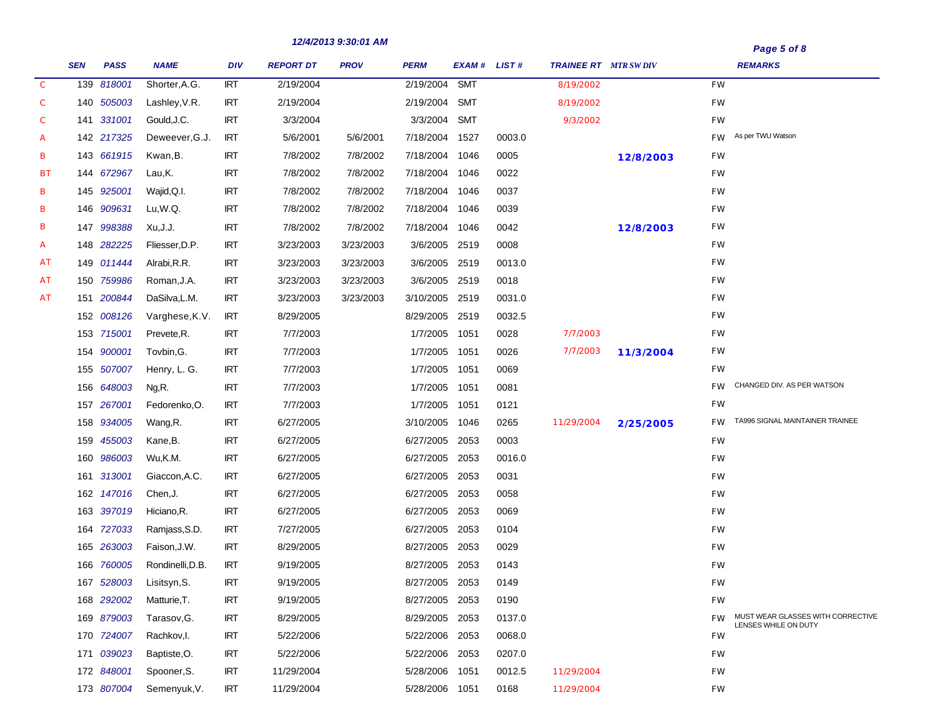| Page 5 of 8 |  |
|-------------|--|
|             |  |

|               | <b>SEN</b> | <b>PASS</b> | <b>NAME</b>      | DIV        | <b>REPORT DT</b> | <b>PROV</b> | PERM           | EXAM# LIST# |        | <b>TRAINEE RT</b> MTR SWDIV |                         |           | <b>REMARKS</b>                                            |
|---------------|------------|-------------|------------------|------------|------------------|-------------|----------------|-------------|--------|-----------------------------|-------------------------|-----------|-----------------------------------------------------------|
| $\mathcal{C}$ |            | 139 818001  | Shorter, A.G.    | <b>IRT</b> | 2/19/2004        |             | 2/19/2004      | <b>SMT</b>  |        | 8/19/2002                   |                         | <b>FW</b> |                                                           |
| $\mathcal C$  |            | 140 505003  | Lashley, V.R.    | <b>IRT</b> | 2/19/2004        |             | 2/19/2004      | SMT         |        | 8/19/2002                   |                         | FW        |                                                           |
| С             |            | 141 331001  | Gould, J.C.      | <b>IRT</b> | 3/3/2004         |             | 3/3/2004 SMT   |             |        | 9/3/2002                    |                         | FW        |                                                           |
| A             |            | 142 217325  | Deweever, G.J.   | <b>IRT</b> | 5/6/2001         | 5/6/2001    | 7/18/2004 1527 |             | 0003.0 |                             |                         | <b>FW</b> | As per TWU Watson                                         |
| В             |            | 143 661915  | Kwan, B.         | <b>IRT</b> | 7/8/2002         | 7/8/2002    | 7/18/2004 1046 |             | 0005   |                             | 12/8/2003               | <b>FW</b> |                                                           |
| ВT            |            | 144 672967  | Lau,K.           | <b>IRT</b> | 7/8/2002         | 7/8/2002    | 7/18/2004 1046 |             | 0022   |                             |                         | FW        |                                                           |
| В             |            | 145 925001  | Wajid, Q.I.      | <b>IRT</b> | 7/8/2002         | 7/8/2002    | 7/18/2004 1046 |             | 0037   |                             |                         | FW        |                                                           |
| В             |            | 146 909631  | Lu,W.Q.          | <b>IRT</b> | 7/8/2002         | 7/8/2002    | 7/18/2004 1046 |             | 0039   |                             |                         | FW        |                                                           |
| В             |            | 147 998388  | Xu,J.J.          | <b>IRT</b> | 7/8/2002         | 7/8/2002    | 7/18/2004 1046 |             | 0042   |                             | 12/8/2003               | FW        |                                                           |
| A             |            | 148 282225  | Fliesser, D.P.   | <b>IRT</b> | 3/23/2003        | 3/23/2003   | 3/6/2005       | 2519        | 0008   |                             |                         | FW        |                                                           |
| АT            |            | 149 011444  | Alrabi, R.R.     | <b>IRT</b> | 3/23/2003        | 3/23/2003   | 3/6/2005 2519  |             | 0013.0 |                             |                         | FW        |                                                           |
| АT            |            | 150 759986  | Roman, J.A.      | <b>IRT</b> | 3/23/2003        | 3/23/2003   | 3/6/2005 2519  |             | 0018   |                             |                         | FW        |                                                           |
| AT            |            | 151 200844  | DaSilva, L.M.    | <b>IRT</b> | 3/23/2003        | 3/23/2003   | 3/10/2005 2519 |             | 0031.0 |                             |                         | FW        |                                                           |
|               |            | 152 008126  | Varghese, K.V.   | <b>IRT</b> | 8/29/2005        |             | 8/29/2005 2519 |             | 0032.5 |                             |                         | FW        |                                                           |
|               |            | 153 715001  | Prevete, R.      | <b>IRT</b> | 7/7/2003         |             | 1/7/2005 1051  |             | 0028   | 7/7/2003                    |                         | FW        |                                                           |
|               |            | 154 900001  | Tovbin, G.       | <b>IRT</b> | 7/7/2003         |             | 1/7/2005 1051  |             | 0026   | 7/7/2003                    | 11/3/2004               | FW        |                                                           |
|               |            | 155 507007  | Henry, L. G.     | <b>IRT</b> | 7/7/2003         |             | 1/7/2005 1051  |             | 0069   |                             |                         | FW        |                                                           |
|               |            | 156 648003  | Ng,R.            | <b>IRT</b> | 7/7/2003         |             | 1/7/2005 1051  |             | 0081   |                             |                         | <b>FW</b> | CHANGED DIV. AS PER WATSON                                |
|               |            | 157 267001  | Fedorenko, O.    | <b>IRT</b> | 7/7/2003         |             | 1/7/2005 1051  |             | 0121   |                             |                         | FW        |                                                           |
|               |            | 158 934005  | Wang,R.          | <b>IRT</b> | 6/27/2005        |             | 3/10/2005 1046 |             | 0265   | 11/29/2004                  | <i><b>2/25/2005</b></i> | <b>FW</b> | TA996 SIGNAL MAINTAINER TRAINEE                           |
|               |            | 159 455003  | Kane, B.         | <b>IRT</b> | 6/27/2005        |             | 6/27/2005      | 2053        | 0003   |                             |                         | FW        |                                                           |
|               |            | 160 986003  | Wu,K.M.          | <b>IRT</b> | 6/27/2005        |             | 6/27/2005      | 2053        | 0016.0 |                             |                         | FW        |                                                           |
|               |            | 161 313001  | Giaccon, A.C.    | <b>IRT</b> | 6/27/2005        |             | 6/27/2005      | 2053        | 0031   |                             |                         | FW        |                                                           |
|               |            | 162 147016  | Chen, J.         | <b>IRT</b> | 6/27/2005        |             | 6/27/2005      | 2053        | 0058   |                             |                         | FW        |                                                           |
|               |            | 163 397019  | Hiciano, R.      | <b>IRT</b> | 6/27/2005        |             | 6/27/2005      | 2053        | 0069   |                             |                         | FW        |                                                           |
|               |            | 164 727033  | Ramjass, S.D.    | <b>IRT</b> | 7/27/2005        |             | 6/27/2005      | 2053        | 0104   |                             |                         | FW        |                                                           |
|               |            | 165 263003  | Faison, J.W.     | <b>IRT</b> | 8/29/2005        |             | 8/27/2005      | 2053        | 0029   |                             |                         | FW        |                                                           |
|               |            | 166 760005  | Rondinelli, D.B. | <b>IRT</b> | 9/19/2005        |             | 8/27/2005      | 2053        | 0143   |                             |                         | FW        |                                                           |
|               |            | 167 528003  | Lisitsyn, S.     | <b>IRT</b> | 9/19/2005        |             | 8/27/2005 2053 |             | 0149   |                             |                         | FW        |                                                           |
|               |            | 168 292002  | Matturie, T.     | <b>IRT</b> | 9/19/2005        |             | 8/27/2005 2053 |             | 0190   |                             |                         | FW        |                                                           |
|               |            | 169 879003  | Tarasov, G.      | <b>IRT</b> | 8/29/2005        |             | 8/29/2005 2053 |             | 0137.0 |                             |                         | <b>FW</b> | MUST WEAR GLASSES WITH CORRECTIVE<br>LENSES WHILE ON DUTY |
|               |            | 170 724007  | Rachkov, I.      | <b>IRT</b> | 5/22/2006        |             | 5/22/2006 2053 |             | 0068.0 |                             |                         | FW        |                                                           |
|               |            | 171 039023  | Baptiste, O.     | <b>IRT</b> | 5/22/2006        |             | 5/22/2006 2053 |             | 0207.0 |                             |                         | FW        |                                                           |
|               |            | 172 848001  | Spooner, S.      | <b>IRT</b> | 11/29/2004       |             | 5/28/2006 1051 |             | 0012.5 | 11/29/2004                  |                         | FW        |                                                           |
|               |            | 173 807004  | Semenyuk, V.     | <b>IRT</b> | 11/29/2004       |             | 5/28/2006 1051 |             | 0168   | 11/29/2004                  |                         | FW        |                                                           |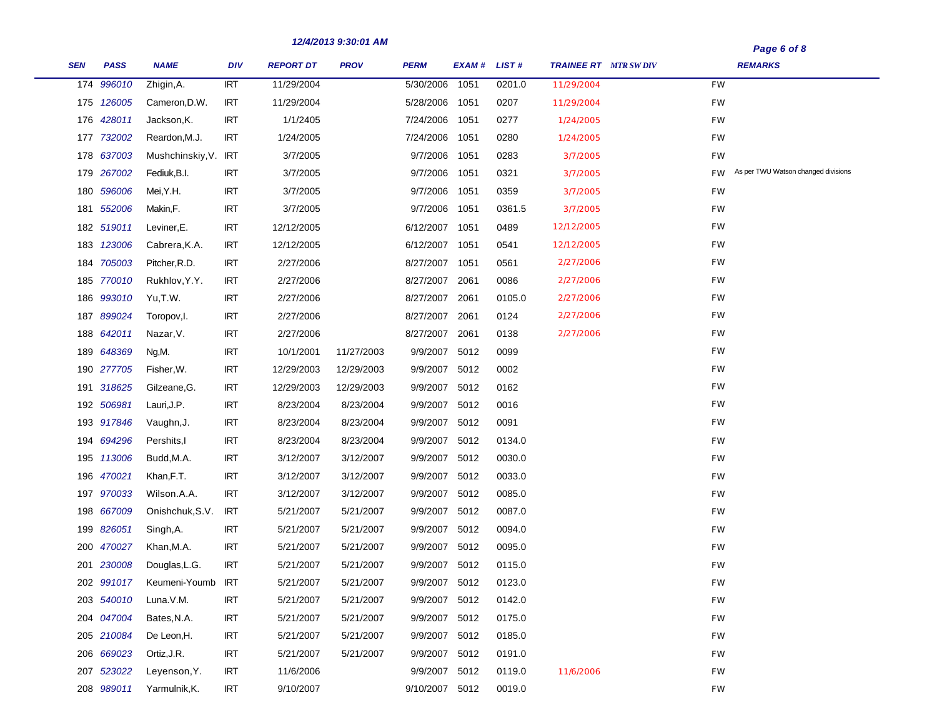المستنبذ

|            |             |                      |            | 12/4/2013 9.30.01 AM |             |                |             |        |                             | Page 6 of 8 |                                     |
|------------|-------------|----------------------|------------|----------------------|-------------|----------------|-------------|--------|-----------------------------|-------------|-------------------------------------|
| <b>SEN</b> | <b>PASS</b> | <b>NAME</b>          | <b>DIV</b> | <b>REPORT DT</b>     | <b>PROV</b> | <b>PERM</b>    | EXAM# LIST# |        | <b>TRAINEE RT</b> MTR SWDIV |             | <b>REMARKS</b>                      |
|            | 174 996010  | Zhigin, A.           | <b>IRT</b> | 11/29/2004           |             | 5/30/2006      | 1051        | 0201.0 | 11/29/2004                  | <b>FW</b>   |                                     |
|            | 175 126005  | Cameron, D.W.        | <b>IRT</b> | 11/29/2004           |             | 5/28/2006      | 1051        | 0207   | 11/29/2004                  | FW          |                                     |
|            | 176 428011  | Jackson, K.          | <b>IRT</b> | 1/1/2405             |             | 7/24/2006      | 1051        | 0277   | 1/24/2005                   | FW          |                                     |
|            | 177 732002  | Reardon, M.J.        | <b>IRT</b> | 1/24/2005            |             | 7/24/2006      | 1051        | 0280   | 1/24/2005                   | FW          |                                     |
|            | 178 637003  | Mushchinskiy, V. IRT |            | 3/7/2005             |             | 9/7/2006       | 1051        | 0283   | 3/7/2005                    | FW          |                                     |
|            | 179 267002  | Fediuk, B.I.         | <b>IRT</b> | 3/7/2005             |             | 9/7/2006       | 1051        | 0321   | 3/7/2005                    | <b>FW</b>   | As per TWU Watson changed divisions |
|            | 180 596006  | Mei,Y.H.             | <b>IRT</b> | 3/7/2005             |             | 9/7/2006       | 1051        | 0359   | 3/7/2005                    | <b>FW</b>   |                                     |
|            | 181 552006  | Makin,F.             | <b>IRT</b> | 3/7/2005             |             | 9/7/2006       | 1051        | 0361.5 | 3/7/2005                    | FW          |                                     |
|            | 182 519011  | Leviner, E.          | <b>IRT</b> | 12/12/2005           |             | 6/12/2007      | 1051        | 0489   | 12/12/2005                  | FW          |                                     |
|            | 183 123006  | Cabrera, K.A.        | <b>IRT</b> | 12/12/2005           |             | 6/12/2007      | 1051        | 0541   | 12/12/2005                  | FW          |                                     |
|            | 184 705003  | Pitcher, R.D.        | <b>IRT</b> | 2/27/2006            |             | 8/27/2007      | 1051        | 0561   | 2/27/2006                   | FW          |                                     |
|            | 185 770010  | Rukhlov, Y.Y.        | <b>IRT</b> | 2/27/2006            |             | 8/27/2007      | 2061        | 0086   | 2/27/2006                   | FW          |                                     |
| 186        | 993010      | Yu,T.W.              | <b>IRT</b> | 2/27/2006            |             | 8/27/2007      | 2061        | 0105.0 | 2/27/2006                   | FW          |                                     |
|            | 187 899024  | Toropov, I.          | <b>IRT</b> | 2/27/2006            |             | 8/27/2007      | 2061        | 0124   | 2/27/2006                   | FW          |                                     |
|            | 188 642011  | Nazar, V.            | <b>IRT</b> | 2/27/2006            |             | 8/27/2007      | 2061        | 0138   | 2/27/2006                   | FW          |                                     |
|            | 189 648369  | Ng,M.                | <b>IRT</b> | 10/1/2001            | 11/27/2003  | 9/9/2007       | 5012        | 0099   |                             | FW          |                                     |
|            | 190 277705  | Fisher, W.           | <b>IRT</b> | 12/29/2003           | 12/29/2003  | 9/9/2007       | 5012        | 0002   |                             | FW          |                                     |
|            | 191 318625  | Gilzeane, G.         | IRT        | 12/29/2003           | 12/29/2003  | 9/9/2007       | 5012        | 0162   |                             | FW          |                                     |
|            | 192 506981  | Lauri, J.P.          | <b>IRT</b> | 8/23/2004            | 8/23/2004   | 9/9/2007       | 5012        | 0016   |                             | FW          |                                     |
|            | 193 917846  | Vaughn, J.           | <b>IRT</b> | 8/23/2004            | 8/23/2004   | 9/9/2007       | 5012        | 0091   |                             | FW          |                                     |
|            | 194 694296  | Pershits, I          | <b>IRT</b> | 8/23/2004            | 8/23/2004   | 9/9/2007       | 5012        | 0134.0 |                             | FW          |                                     |
| 195        | 113006      | Budd, M.A.           | <b>IRT</b> | 3/12/2007            | 3/12/2007   | 9/9/2007       | 5012        | 0030.0 |                             | <b>FW</b>   |                                     |
| 196        | 470021      | Khan, F.T.           | <b>IRT</b> | 3/12/2007            | 3/12/2007   | 9/9/2007       | 5012        | 0033.0 |                             | FW          |                                     |
|            | 197 970033  | Wilson.A.A.          | <b>IRT</b> | 3/12/2007            | 3/12/2007   | 9/9/2007       | 5012        | 0085.0 |                             | <b>FW</b>   |                                     |
|            | 198 667009  | Onishchuk, S.V.      | <b>IRT</b> | 5/21/2007            | 5/21/2007   | 9/9/2007       | 5012        | 0087.0 |                             | FW          |                                     |
|            | 199 826051  | Singh, A.            | <b>IRT</b> | 5/21/2007            | 5/21/2007   | 9/9/2007       | 5012        | 0094.0 |                             | FW          |                                     |
| 200        | 470027      | Khan, M.A.           | <b>IRT</b> | 5/21/2007            | 5/21/2007   | 9/9/2007       | 5012        | 0095.0 |                             | FW          |                                     |
|            | 201 230008  | Douglas, L.G.        | <b>IRT</b> | 5/21/2007            | 5/21/2007   | 9/9/2007       | 5012        | 0115.0 |                             | FW          |                                     |
|            | 202 991017  | Keumeni-Youmb        | <b>IRT</b> | 5/21/2007            | 5/21/2007   | 9/9/2007       | 5012        | 0123.0 |                             | FW          |                                     |
|            | 203 540010  | Luna.V.M.            | <b>IRT</b> | 5/21/2007            | 5/21/2007   | 9/9/2007       | 5012        | 0142.0 |                             | FW          |                                     |
|            | 204 047004  | Bates, N.A.          | <b>IRT</b> | 5/21/2007            | 5/21/2007   | 9/9/2007       | 5012        | 0175.0 |                             | FW          |                                     |
|            | 205 210084  | De Leon, H.          | IRT        | 5/21/2007            | 5/21/2007   | 9/9/2007       | 5012        | 0185.0 |                             | <b>FW</b>   |                                     |
|            | 206 669023  | Ortiz, J.R.          | <b>IRT</b> | 5/21/2007            | 5/21/2007   | 9/9/2007       | 5012        | 0191.0 |                             | FW          |                                     |
|            | 207 523022  | Leyenson, Y.         | <b>IRT</b> | 11/6/2006            |             | 9/9/2007       | 5012        | 0119.0 | 11/6/2006                   | <b>FW</b>   |                                     |
|            | 208 989011  | Yarmulnik, K.        | <b>IRT</b> | 9/10/2007            |             | 9/10/2007 5012 |             | 0019.0 |                             | FW          |                                     |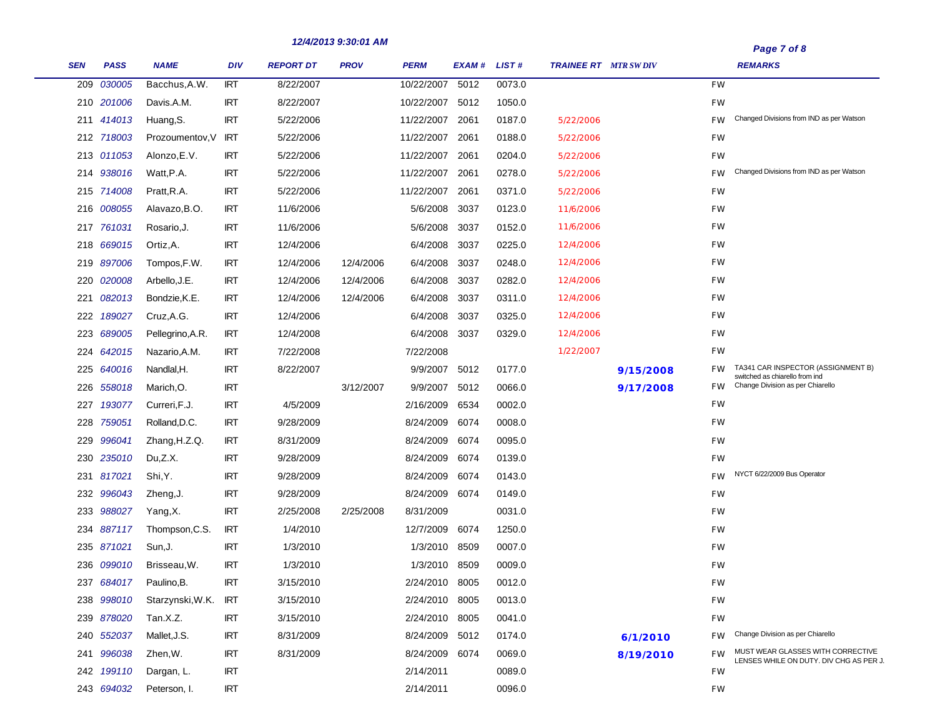|     |             |                  |            |                  | 12/4/2013 9:30:01 AM |                 |               |        |                              |           |           | Page 7 of 8                                                                  |
|-----|-------------|------------------|------------|------------------|----------------------|-----------------|---------------|--------|------------------------------|-----------|-----------|------------------------------------------------------------------------------|
| SEN | <b>PASS</b> | <b>NAME</b>      | <b>DIV</b> | <b>REPORT DT</b> | <b>PROV</b>          | <b>PERM</b>     | EXAM # LIST # |        | <b>TRAINEE RT</b> MTR SW DIV |           |           | <b>REMARKS</b>                                                               |
| 209 | 030005      | Bacchus, A.W.    | <b>IRT</b> | 8/22/2007        |                      | 10/22/2007      | 5012          | 0073.0 |                              |           | <b>FW</b> |                                                                              |
|     | 210 201006  | Davis.A.M.       | <b>IRT</b> | 8/22/2007        |                      | 10/22/2007 5012 |               | 1050.0 |                              |           | <b>FW</b> |                                                                              |
|     | 211 414013  | Huang, S.        | <b>IRT</b> | 5/22/2006        |                      | 11/22/2007 2061 |               | 0187.0 | 5/22/2006                    |           | <b>FW</b> | Changed Divisions from IND as per Watson                                     |
|     | 212 718003  | Prozoumentov, V  | IRT        | 5/22/2006        |                      | 11/22/2007 2061 |               | 0188.0 | 5/22/2006                    |           | <b>FW</b> |                                                                              |
|     | 213 011053  | Alonzo, E.V.     | <b>IRT</b> | 5/22/2006        |                      | 11/22/2007      | 2061          | 0204.0 | 5/22/2006                    |           | <b>FW</b> |                                                                              |
|     | 214 938016  | Watt, P.A.       | <b>IRT</b> | 5/22/2006        |                      | 11/22/2007 2061 |               | 0278.0 | 5/22/2006                    |           | <b>FW</b> | Changed Divisions from IND as per Watson                                     |
|     | 215 714008  | Pratt, R.A.      | <b>IRT</b> | 5/22/2006        |                      | 11/22/2007      | 2061          | 0371.0 | 5/22/2006                    |           | FW        |                                                                              |
|     | 216 008055  | Alavazo, B.O.    | <b>IRT</b> | 11/6/2006        |                      | 5/6/2008        | 3037          | 0123.0 | 11/6/2006                    |           | FW        |                                                                              |
|     | 217 761031  | Rosario, J.      | <b>IRT</b> | 11/6/2006        |                      | 5/6/2008        | 3037          | 0152.0 | 11/6/2006                    |           | FW        |                                                                              |
|     | 218 669015  | Ortiz, A.        | <b>IRT</b> | 12/4/2006        |                      | 6/4/2008        | 3037          | 0225.0 | 12/4/2006                    |           | FW        |                                                                              |
|     | 219 897006  | Tompos, F.W.     | <b>IRT</b> | 12/4/2006        | 12/4/2006            | 6/4/2008 3037   |               | 0248.0 | 12/4/2006                    |           | FW        |                                                                              |
| 220 | 020008      | Arbello, J.E.    | <b>IRT</b> | 12/4/2006        | 12/4/2006            | 6/4/2008        | 3037          | 0282.0 | 12/4/2006                    |           | FW        |                                                                              |
| 221 | 082013      | Bondzie, K.E.    | <b>IRT</b> | 12/4/2006        | 12/4/2006            | 6/4/2008 3037   |               | 0311.0 | 12/4/2006                    |           | FW        |                                                                              |
| 222 | 189027      | Cruz, A.G.       | <b>IRT</b> | 12/4/2006        |                      | 6/4/2008        | 3037          | 0325.0 | 12/4/2006                    |           | FW        |                                                                              |
|     | 223 689005  | Pellegrino, A.R. | <b>IRT</b> | 12/4/2008        |                      | 6/4/2008 3037   |               | 0329.0 | 12/4/2006                    |           | FW        |                                                                              |
| 224 | 642015      | Nazario, A.M.    | <b>IRT</b> | 7/22/2008        |                      | 7/22/2008       |               |        | 1/22/2007                    |           | FW        |                                                                              |
|     | 225 640016  | Nandlal,H.       | <b>IRT</b> | 8/22/2007        |                      | 9/9/2007 5012   |               | 0177.0 |                              | 9/15/2008 | <b>FW</b> | TA341 CAR INSPECTOR (ASSIGNMENT B)<br>switched as chiarello from ind         |
| 226 | 558018      | Marich, O.       | <b>IRT</b> |                  | 3/12/2007            | 9/9/2007 5012   |               | 0066.0 |                              | 9/17/2008 | FW .      | Change Division as per Chiarello                                             |
| 227 | 193077      | Curreri, F.J.    | <b>IRT</b> | 4/5/2009         |                      | 2/16/2009 6534  |               | 0002.0 |                              |           | <b>FW</b> |                                                                              |
| 228 | 759051      | Rolland, D.C.    | <b>IRT</b> | 9/28/2009        |                      | 8/24/2009       | 6074          | 0008.0 |                              |           | <b>FW</b> |                                                                              |
| 229 | 996041      | Zhang, H.Z.Q.    | <b>IRT</b> | 8/31/2009        |                      | 8/24/2009       | 6074          | 0095.0 |                              |           | FW        |                                                                              |
|     | 230 235010  | Du,Z.X.          | <b>IRT</b> | 9/28/2009        |                      | 8/24/2009       | 6074          | 0139.0 |                              |           | FW        |                                                                              |
|     | 231 817021  | Shi, Y.          | <b>IRT</b> | 9/28/2009        |                      | 8/24/2009       | 6074          | 0143.0 |                              |           | <b>FW</b> | NYCT 6/22/2009 Bus Operator                                                  |
|     | 232 996043  | Zheng, J.        | <b>IRT</b> | 9/28/2009        |                      | 8/24/2009 6074  |               | 0149.0 |                              |           | <b>FW</b> |                                                                              |
|     | 233 988027  | Yang,X.          | <b>IRT</b> | 2/25/2008        | 2/25/2008            | 8/31/2009       |               | 0031.0 |                              |           | FW        |                                                                              |
| 234 | 887117      | Thompson, C.S.   | <b>IRT</b> | 1/4/2010         |                      | 12/7/2009       | 6074          | 1250.0 |                              |           | FW        |                                                                              |
|     | 235 871021  | Sun, J.          | <b>IRT</b> | 1/3/2010         |                      | 1/3/2010 8509   |               | 0007.0 |                              |           | FW        |                                                                              |
|     | 236 099010  | Brisseau, W.     | <b>IRT</b> | 1/3/2010         |                      | 1/3/2010        | 8509          | 0009.0 |                              |           | FW        |                                                                              |
|     | 237 684017  | Paulino, B.      | <b>IRT</b> | 3/15/2010        |                      | 2/24/2010 8005  |               | 0012.0 |                              |           | FW        |                                                                              |
|     | 238 998010  | Starzynski, W.K. | <b>IRT</b> | 3/15/2010        |                      | 2/24/2010 8005  |               | 0013.0 |                              |           | FW        |                                                                              |
|     | 239 878020  | Tan.X.Z.         | <b>IRT</b> | 3/15/2010        |                      | 2/24/2010 8005  |               | 0041.0 |                              |           | FW        |                                                                              |
|     | 240 552037  | Mallet, J.S.     | <b>IRT</b> | 8/31/2009        |                      | 8/24/2009 5012  |               | 0174.0 |                              | 6/1/2010  | <b>FW</b> | Change Division as per Chiarello                                             |
|     | 241 996038  | Zhen, W.         | <b>IRT</b> | 8/31/2009        |                      | 8/24/2009 6074  |               | 0069.0 |                              | 8/19/2010 | FW        | MUST WEAR GLASSES WITH CORRECTIVE<br>LENSES WHILE ON DUTY. DIV CHG AS PER J. |
|     | 242 199110  | Dargan, L.       | <b>IRT</b> |                  |                      | 2/14/2011       |               | 0089.0 |                              |           | <b>FW</b> |                                                                              |
|     | 243 694032  | Peterson, I.     | <b>IRT</b> |                  |                      | 2/14/2011       |               | 0096.0 |                              |           | FW        |                                                                              |